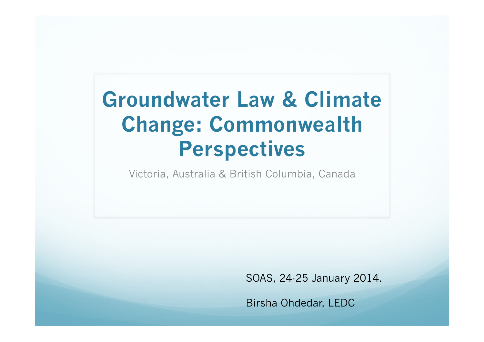#### **Groundwater Law & Climate Change: Commonwealth Perspectives**

Victoria, Australia & British Columbia, Canada

SOAS, 24-25 January 2014.

Birsha Ohdedar, LEDC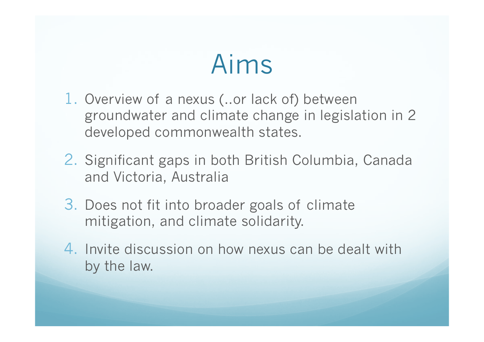## Aims

- 1. Overview of a nexus (..or lack of) between groundwater and climate change in legislation in 2 developed commonwealth states.
- 2. Significant gaps in both British Columbia, Canada and Victoria, Australia
- 3. Does not fit into broader goals of climate mitigation, and climate solidarity.
- 4. Invite discussion on how nexus can be dealt with by the law.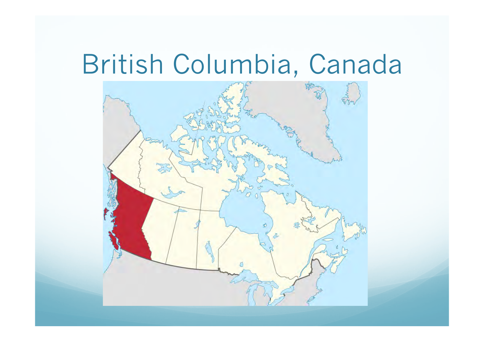## British Columbia, Canada

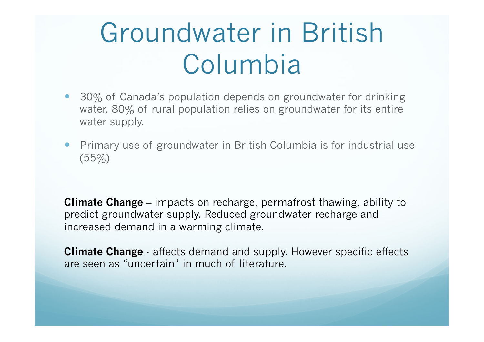## Groundwater in British Columbia

- 30% of Canada's population depends on groundwater for drinking water. 80% of rural population relies on groundwater for its entire water supply.
- Primary use of groundwater in British Columbia is for industrial use  $(55\%)$

**Climate Change** – impacts on recharge, permafrost thawing, ability to predict groundwater supply. Reduced groundwater recharge and increased demand in a warming climate.

**Climate Change** - affects demand and supply. However specific effects are seen as "uncertain" in much of literature.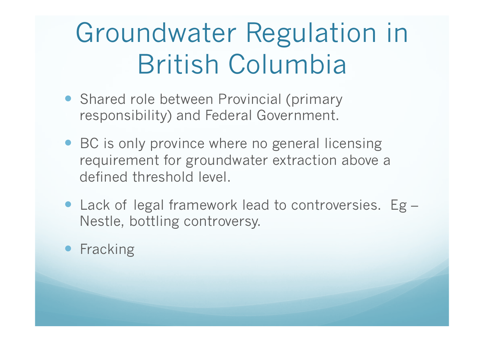# Groundwater Regulation in British Columbia

- Shared role between Provincial (primary responsibility) and Federal Government.
- BC is only province where no general licensing requirement for groundwater extraction above a defined threshold level.
- Lack of legal framework lead to controversies. Eg Nestle, bottling controversy.

#### • Fracking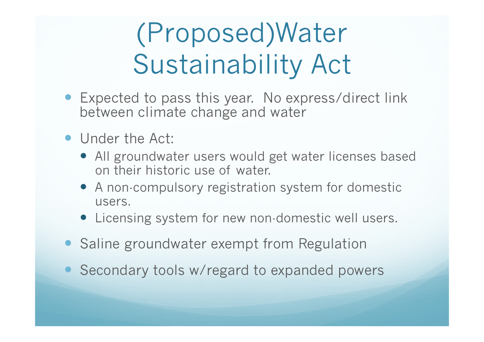# (Proposed)Water Sustainability Act

- Expected to pass this year. No express/direct link between climate change and water
- Under the Act:
	- All groundwater users would get water licenses based on their historic use of water.
	- A non-compulsory registration system for domestic users.
	- Licensing system for new non-domestic well users.
- Saline groundwater exempt from Regulation
- Secondary tools w/regard to expanded powers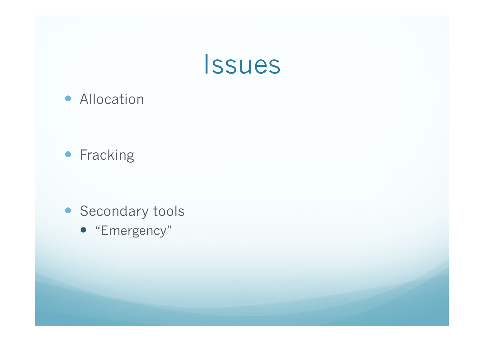

**• Allocation** 

#### **•** Fracking

- **Secondary tools** 
	- "Emergency"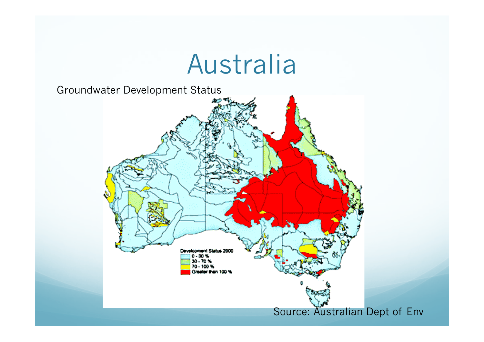### Australia

Groundwater Development Status

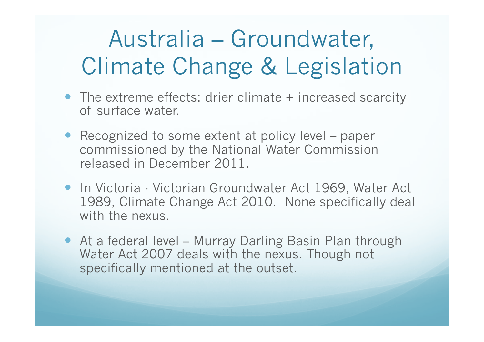### Australia – Groundwater, Climate Change & Legislation

- The extreme effects: drier climate + increased scarcity of surface water.
- Recognized to some extent at policy level paper commissioned by the National Water Commission released in December 2011.
- In Victoria Victorian Groundwater Act 1969, Water Act 1989, Climate Change Act 2010. None specifically deal with the nexus.
- At a federal level Murray Darling Basin Plan through Water Act 2007 deals with the nexus. Though not specifically mentioned at the outset.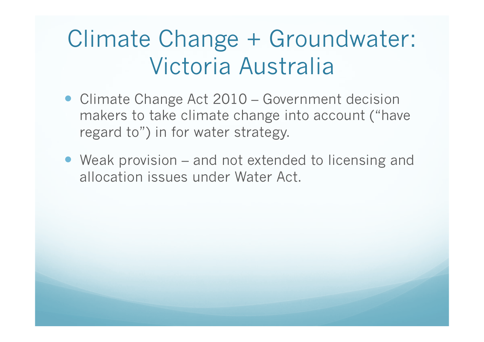### Climate Change + Groundwater: Victoria Australia

- Climate Change Act 2010 Government decision makers to take climate change into account ("have regard to") in for water strategy.
- Weak provision and not extended to licensing and allocation issues under Water Act.